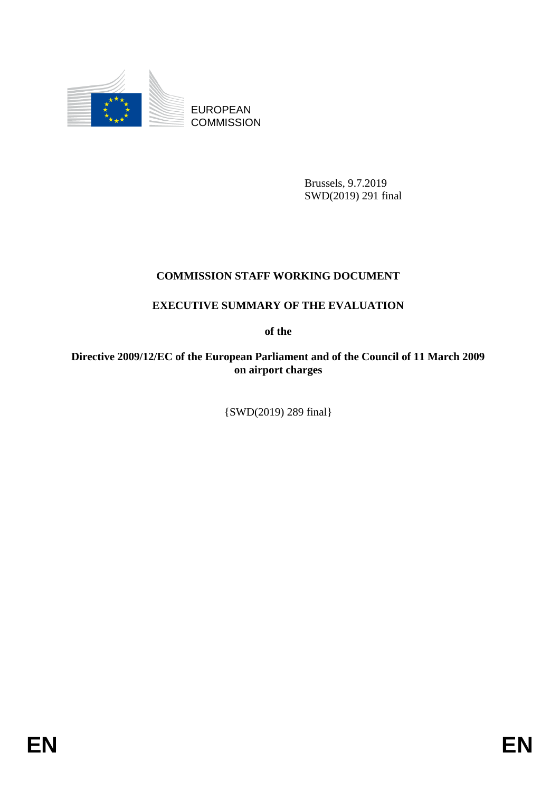

EUROPEAN **COMMISSION** 

> Brussels, 9.7.2019 SWD(2019) 291 final

# **COMMISSION STAFF WORKING DOCUMENT**

# **EXECUTIVE SUMMARY OF THE EVALUATION**

**of the** 

**Directive 2009/12/EC of the European Parliament and of the Council of 11 March 2009 on airport charges** 

{SWD(2019) 289 final}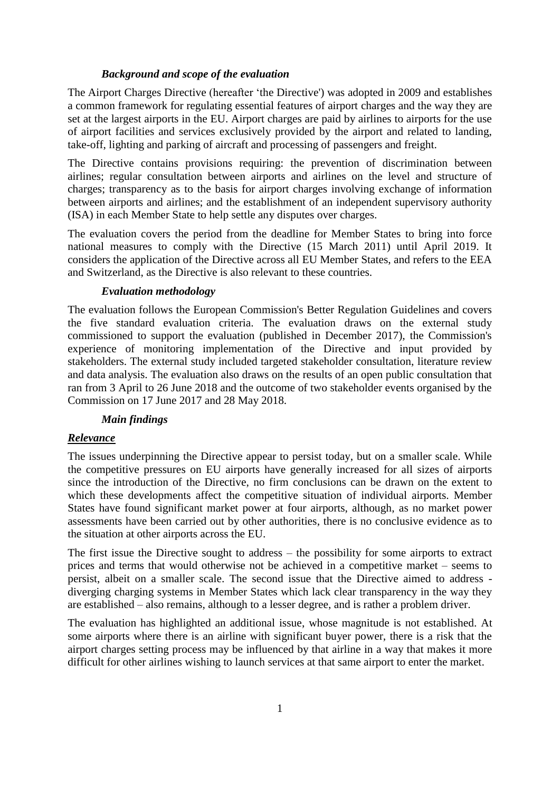### *Background and scope of the evaluation*

The Airport Charges Directive (hereafter 'the Directive') was adopted in 2009 and establishes a common framework for regulating essential features of airport charges and the way they are set at the largest airports in the EU. Airport charges are paid by airlines to airports for the use of airport facilities and services exclusively provided by the airport and related to landing, take-off, lighting and parking of aircraft and processing of passengers and freight.

The Directive contains provisions requiring: the prevention of discrimination between airlines; regular consultation between airports and airlines on the level and structure of charges; transparency as to the basis for airport charges involving exchange of information between airports and airlines; and the establishment of an independent supervisory authority (ISA) in each Member State to help settle any disputes over charges.

The evaluation covers the period from the deadline for Member States to bring into force national measures to comply with the Directive (15 March 2011) until April 2019. It considers the application of the Directive across all EU Member States, and refers to the EEA and Switzerland, as the Directive is also relevant to these countries.

#### *Evaluation methodology*

The evaluation follows the European Commission's Better Regulation Guidelines and covers the five standard evaluation criteria. The evaluation draws on the external study commissioned to support the evaluation (published in December 2017), the Commission's experience of monitoring implementation of the Directive and input provided by stakeholders. The external study included targeted stakeholder consultation, literature review and data analysis. The evaluation also draws on the results of an open public consultation that ran from 3 April to 26 June 2018 and the outcome of two stakeholder events organised by the Commission on 17 June 2017 and 28 May 2018.

#### *Main findings*

## *Relevance*

The issues underpinning the Directive appear to persist today, but on a smaller scale. While the competitive pressures on EU airports have generally increased for all sizes of airports since the introduction of the Directive, no firm conclusions can be drawn on the extent to which these developments affect the competitive situation of individual airports. Member States have found significant market power at four airports, although, as no market power assessments have been carried out by other authorities, there is no conclusive evidence as to the situation at other airports across the EU.

The first issue the Directive sought to address – the possibility for some airports to extract prices and terms that would otherwise not be achieved in a competitive market – seems to persist, albeit on a smaller scale. The second issue that the Directive aimed to address diverging charging systems in Member States which lack clear transparency in the way they are established – also remains, although to a lesser degree, and is rather a problem driver.

The evaluation has highlighted an additional issue, whose magnitude is not established. At some airports where there is an airline with significant buyer power, there is a risk that the airport charges setting process may be influenced by that airline in a way that makes it more difficult for other airlines wishing to launch services at that same airport to enter the market.